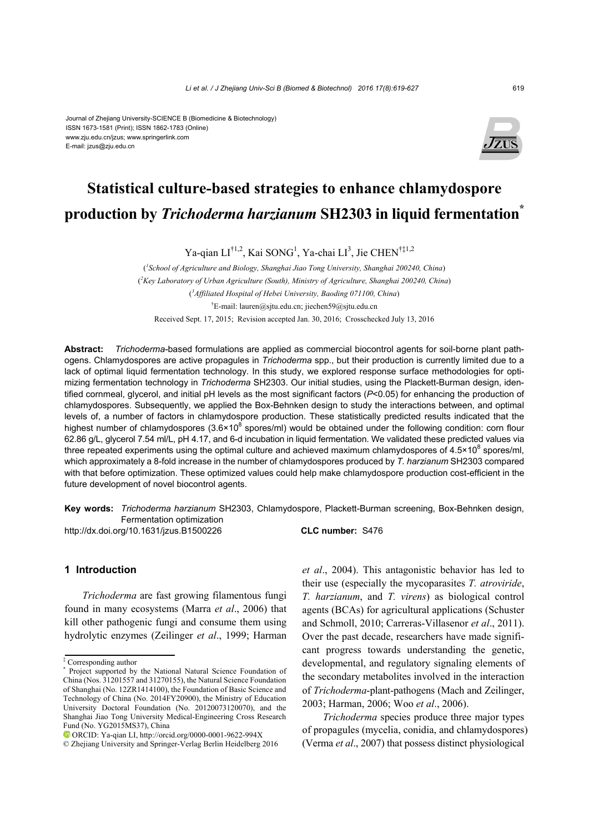#### Journal of Zhejiang University-SCIENCE B (Biomedicine & Biotechnology) ISSN 1673-1581 (Print); ISSN 1862-1783 (Online) www.zju.edu.cn/jzus; www.springerlink.com E-mail: jzus@zju.edu.cn



# **Statistical culture-based strategies to enhance chlamydospore production by** *Trichoderma harzianum* **SH2303 in liquid fermentation\***

Ya-qian LI<sup>†1,2</sup>, Kai SONG<sup>1</sup>, Ya-chai LI<sup>3</sup>, Jie CHEN<sup>†‡1,2</sup>

( *1 School of Agriculture and Biology, Shanghai Jiao Tong University, Shanghai 200240, China*) ( *2 Key Laboratory of Urban Agriculture (South), Ministry of Agriculture, Shanghai 200240, China*) ( *3 Affiliated Hospital of Hebei University, Baoding 071100, China*) † E-mail: lauren@sjtu.edu.cn; jiechen59@sjtu.edu.cn Received Sept. 17, 2015; Revision accepted Jan. 30, 2016; Crosschecked July 13, 2016

**Abstract:** *Trichoderma-*based formulations are applied as commercial biocontrol agents for soil-borne plant pathogens. Chlamydospores are active propagules in *Trichoderma* spp., but their production is currently limited due to a lack of optimal liquid fermentation technology. In this study, we explored response surface methodologies for optimizing fermentation technology in *Trichoderma* SH2303. Our initial studies, using the Plackett-Burman design, identified cornmeal, glycerol, and initial pH levels as the most significant factors (*P*<0.05) for enhancing the production of chlamydospores. Subsequently, we applied the Box-Behnken design to study the interactions between, and optimal levels of, a number of factors in chlamydospore production. These statistically predicted results indicated that the highest number of chlamydospores (3.6×10<sup>8</sup> spores/ml) would be obtained under the following condition: corn flour 62.86 g/L, glycerol 7.54 ml/L, pH 4.17, and 6-d incubation in liquid fermentation. We validated these predicted values via three repeated experiments using the optimal culture and achieved maximum chlamydospores of  $4.5 \times 10^8$  spores/ml, which approximately a 8-fold increase in the number of chlamydospores produced by *T. harzianum* SH2303 compared with that before optimization. These optimized values could help make chlamydospore production cost-efficient in the future development of novel biocontrol agents.

**Key words:** *Trichoderma harzianum* SH2303, Chlamydospore, Plackett-Burman screening, Box-Behnken design, Fermentation optimization http://dx.doi.org/10.1631/jzus.B1500226 **CLC number:** S476

# **1 Introduction**

*Trichoderma* are fast growing filamentous fungi found in many ecosystems (Marra *et al*., 2006) that kill other pathogenic fungi and consume them using hydrolytic enzymes (Zeilinger *et al*., 1999; Harman

*et al*., 2004). This antagonistic behavior has led to their use (especially the mycoparasites *T. atroviride*, *T. harzianum*, and *T. virens*) as biological control agents (BCAs) for agricultural applications (Schuster and Schmoll, 2010; Carreras-Villasenor *et al*., 2011). Over the past decade, researchers have made significant progress towards understanding the genetic, developmental, and regulatory signaling elements of the secondary metabolites involved in the interaction of *Trichoderma*-plant-pathogens (Mach and Zeilinger, 2003; Harman, 2006; Woo *et al*., 2006).

*Trichoderma* species produce three major types of propagules (mycelia, conidia, and chlamydospores) (Verma *et al*., 2007) that possess distinct physiological

<sup>‡</sup> Corresponding author

<sup>\*</sup> Project supported by the National Natural Science Foundation of China (Nos. 31201557 and 31270155), the Natural Science Foundation of Shanghai (No. 12ZR1414100), the Foundation of Basic Science and Technology of China (No. 2014FY20900), the Ministry of Education University Doctoral Foundation (No. 20120073120070), and the Shanghai Jiao Tong University Medical-Engineering Cross Research Fund (No. YG2015MS37), China

ORCID: Ya-qian LI, http://orcid.org/0000-0001-9622-994X

<sup>©</sup> Zhejiang University and Springer-Verlag Berlin Heidelberg 2016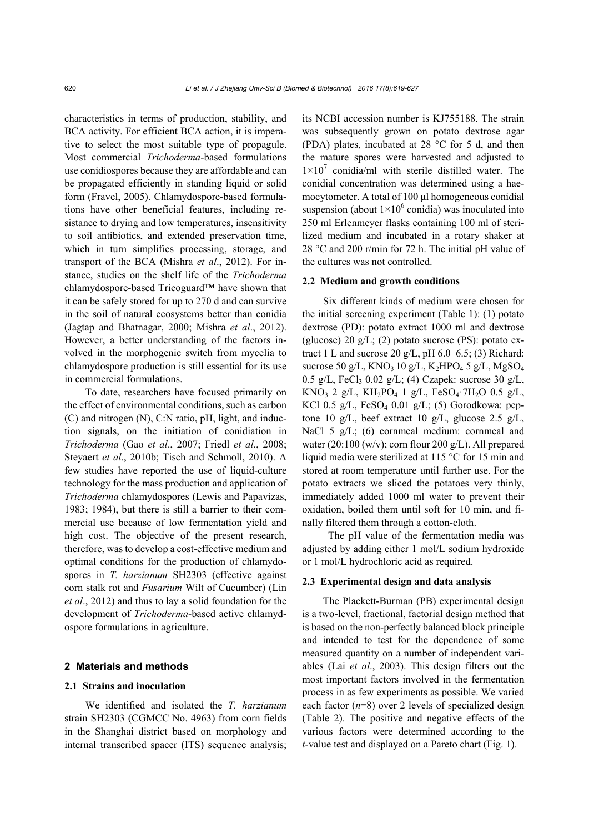characteristics in terms of production, stability, and BCA activity. For efficient BCA action, it is imperative to select the most suitable type of propagule. Most commercial *Trichoderma*-based formulations use conidiospores because they are affordable and can be propagated efficiently in standing liquid or solid form (Fravel, 2005). Chlamydospore-based formulations have other beneficial features, including resistance to drying and low temperatures, insensitivity to soil antibiotics, and extended preservation time, which in turn simplifies processing, storage, and transport of the BCA (Mishra *et al*., 2012). For instance, studies on the shelf life of the *Trichoderma* chlamydospore-based Tricoguard™ have shown that it can be safely stored for up to 270 d and can survive in the soil of natural ecosystems better than conidia (Jagtap and Bhatnagar, 2000; Mishra *et al*., 2012). However, a better understanding of the factors involved in the morphogenic switch from mycelia to chlamydospore production is still essential for its use in commercial formulations.

To date, researchers have focused primarily on the effect of environmental conditions, such as carbon (C) and nitrogen (N), C:N ratio, pH, light, and induction signals, on the initiation of conidiation in *Trichoderma* (Gao *et al*., 2007; Friedl *et al*., 2008; Steyaert *et al*., 2010b; Tisch and Schmoll, 2010). A few studies have reported the use of liquid-culture technology for the mass production and application of *Trichoderma* chlamydospores (Lewis and Papavizas, 1983; 1984), but there is still a barrier to their commercial use because of low fermentation yield and high cost. The objective of the present research, therefore, was to develop a cost-effective medium and optimal conditions for the production of chlamydospores in *T. harzianum* SH2303 (effective against corn stalk rot and *Fusarium* Wilt of Cucumber) (Lin *et al*., 2012) and thus to lay a solid foundation for the development of *Trichoderma-*based active chlamydospore formulations in agriculture.

#### **2 Materials and methods**

# **2.1 Strains and inoculation**

We identified and isolated the *T. harzianum*  strain SH2303 (CGMCC No. 4963) from corn fields in the Shanghai district based on morphology and internal transcribed spacer (ITS) sequence analysis; its NCBI accession number is KJ755188. The strain was subsequently grown on potato dextrose agar (PDA) plates, incubated at 28 °C for 5 d, and then the mature spores were harvested and adjusted to  $1 \times 10^7$  conidia/ml with sterile distilled water. The conidial concentration was determined using a haemocytometer. A total of 100 μl homogeneous conidial suspension (about  $1 \times 10^6$  conidia) was inoculated into 250 ml Erlenmeyer flasks containing 100 ml of sterilized medium and incubated in a rotary shaker at 28 °C and 200 r/min for 72 h. The initial pH value of the cultures was not controlled.

#### **2.2 Medium and growth conditions**

Six different kinds of medium were chosen for the initial screening experiment (Table 1): (1) potato dextrose (PD): potato extract 1000 ml and dextrose (glucose) 20 g/L; (2) potato sucrose (PS): potato extract 1 L and sucrose 20 g/L, pH  $6.0-6.5$ ; (3) Richard: sucrose 50 g/L,  $KNO_3$  10 g/L,  $K_2$ HPO<sub>4</sub> 5 g/L, MgSO<sub>4</sub> 0.5 g/L, FeCl<sub>3</sub> 0.02 g/L; (4) Czapek: sucrose 30 g/L, KNO<sub>3</sub> 2 g/L, KH<sub>2</sub>PO<sub>4</sub> 1 g/L, FeSO<sub>4</sub>·7H<sub>2</sub>O 0.5 g/L, KCl 0.5 g/L, FeSO<sub>4</sub> 0.01 g/L; (5) Gorodkowa: peptone 10 g/L, beef extract 10 g/L, glucose 2.5 g/L, NaCl 5 g/L; (6) cornmeal medium: cornmeal and water (20:100 (w/v); corn flour 200 g/L). All prepared liquid media were sterilized at 115 °C for 15 min and stored at room temperature until further use. For the potato extracts we sliced the potatoes very thinly, immediately added 1000 ml water to prevent their oxidation, boiled them until soft for 10 min, and finally filtered them through a cotton-cloth.

The pH value of the fermentation media was adjusted by adding either 1 mol/L sodium hydroxide or 1 mol/L hydrochloric acid as required.

#### **2.3 Experimental design and data analysis**

The Plackett-Burman (PB) experimental design is a two-level, fractional, factorial design method that is based on the non-perfectly balanced block principle and intended to test for the dependence of some measured quantity on a number of independent variables (Lai *et al*., 2003). This design filters out the most important factors involved in the fermentation process in as few experiments as possible. We varied each factor  $(n=8)$  over 2 levels of specialized design (Table 2). The positive and negative effects of the various factors were determined according to the *t*-value test and displayed on a Pareto chart (Fig. 1).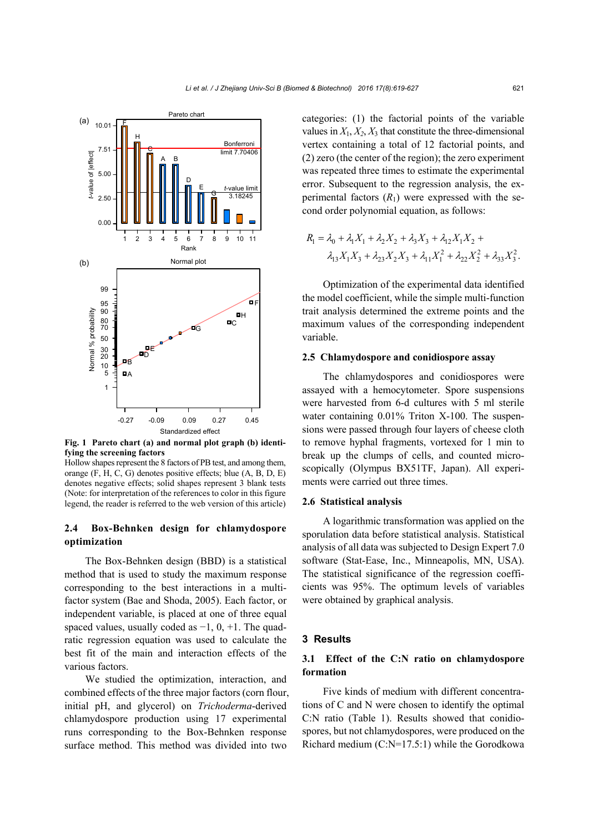

**Fig. 1 Pareto chart (a) and normal plot graph (b) identifying the screening factors** 

Hollow shapes represent the 8 factors of PB test, and among them, orange (F, H, C, G) denotes positive effects; blue (A, B, D, E) denotes negative effects; solid shapes represent 3 blank tests (Note: for interpretation of the references to color in this figure legend, the reader is referred to the web version of this article)

# **2.4 Box-Behnken design for chlamydospore optimization**

The Box-Behnken design (BBD) is a statistical method that is used to study the maximum response corresponding to the best interactions in a multifactor system (Bae and Shoda, 2005). Each factor, or independent variable, is placed at one of three equal spaced values, usually coded as  $-1$ , 0,  $+1$ . The quadratic regression equation was used to calculate the best fit of the main and interaction effects of the various factors.

We studied the optimization, interaction, and combined effects of the three major factors (corn flour, initial pH, and glycerol) on *Trichoderma*-derived chlamydospore production using 17 experimental runs corresponding to the Box-Behnken response surface method. This method was divided into two

categories: (1) the factorial points of the variable values in  $X_1, X_2, X_3$  that constitute the three-dimensional vertex containing a total of 12 factorial points, and (2) zero (the center of the region); the zero experiment was repeated three times to estimate the experimental error. Subsequent to the regression analysis, the experimental factors  $(R_1)$  were expressed with the second order polynomial equation, as follows:

$$
R_1 = \lambda_0 + \lambda_1 X_1 + \lambda_2 X_2 + \lambda_3 X_3 + \lambda_{12} X_1 X_2 +
$$
  

$$
\lambda_{13} X_1 X_3 + \lambda_{23} X_2 X_3 + \lambda_{11} X_1^2 + \lambda_{22} X_2^2 + \lambda_{33} X_3^2.
$$

Optimization of the experimental data identified the model coefficient, while the simple multi-function trait analysis determined the extreme points and the maximum values of the corresponding independent variable.

#### **2.5 Chlamydospore and conidiospore assay**

The chlamydospores and conidiospores were assayed with a hemocytometer. Spore suspensions were harvested from 6-d cultures with 5 ml sterile water containing 0.01% Triton X-100. The suspensions were passed through four layers of cheese cloth to remove hyphal fragments, vortexed for 1 min to break up the clumps of cells, and counted microscopically (Olympus BX51TF, Japan). All experiments were carried out three times.

#### **2.6 Statistical analysis**

A logarithmic transformation was applied on the sporulation data before statistical analysis. Statistical analysis of all data was subjected to Design Expert 7.0 software (Stat-Ease, Inc., Minneapolis, MN, USA). The statistical significance of the regression coefficients was 95%. The optimum levels of variables were obtained by graphical analysis.

#### **3 Results**

# **3.1 Effect of the C:N ratio on chlamydospore formation**

Five kinds of medium with different concentrations of C and N were chosen to identify the optimal C:N ratio (Table 1). Results showed that conidiospores, but not chlamydospores, were produced on the Richard medium (C:N=17.5:1) while the Gorodkowa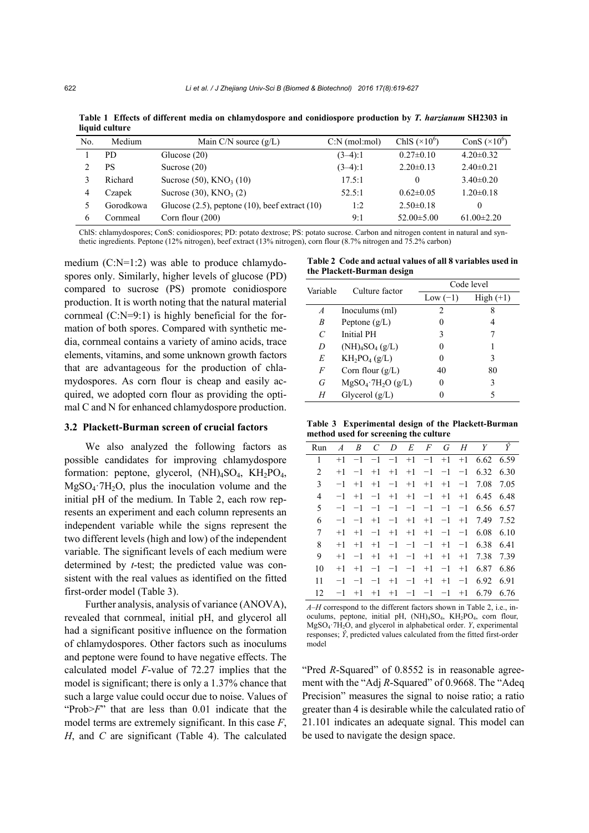|     | ngun cunun c |                                                        |                 |                      |                      |
|-----|--------------|--------------------------------------------------------|-----------------|----------------------|----------------------|
| No. | Medium       | Main C/N source $(g/L)$                                | $C:N$ (mol:mol) | ChlS $(\times 10^6)$ | ConS $(\times 10^6)$ |
|     | PD.          | Glucose $(20)$                                         | $(3-4):1$       | $0.27 \pm 0.10$      | $4.20 \pm 0.32$      |
|     | PS           | Sucrose $(20)$                                         | $(3-4):1$       | $2.20 \pm 0.13$      | $2.40 \pm 0.21$      |
|     | Richard      | Sucrose $(50)$ , KNO <sub>3</sub> $(10)$               | 17.5:1          | $\theta$             | $3.40\pm0.20$        |
| 4   | Czapek       | Sucrose $(30)$ , KNO <sub>3</sub> $(2)$                | 52.5:1          | $0.62 \pm 0.05$      | $1.20 \pm 0.18$      |
|     | Gorodkowa    | Glucose $(2.5)$ , peptone $(10)$ , beef extract $(10)$ | 1:2             | $2.50\pm0.18$        | 0                    |
| 6   | Cornmeal     | Corn flour $(200)$                                     | 9:1             | $52.00 \pm 5.00$     | $61.00 \pm 2.20$     |
|     |              |                                                        |                 |                      |                      |

**Table 1 Effects of different media on chlamydospore and conidiospore production by** *T. harzianum* **SH2303 in liquid culture**

ChlS: chlamydospores; ConS: conidiospores; PD: potato dextrose; PS: potato sucrose. Carbon and nitrogen content in natural and synthetic ingredients. Peptone (12% nitrogen), beef extract (13% nitrogen), corn flour (8.7% nitrogen and 75.2% carbon)

medium (C:N=1:2) was able to produce chlamydospores only. Similarly, higher levels of glucose (PD) compared to sucrose (PS) promote conidiospore production. It is worth noting that the natural material cornmeal (C:N=9:1) is highly beneficial for the formation of both spores. Compared with synthetic media, cornmeal contains a variety of amino acids, trace elements, vitamins, and some unknown growth factors that are advantageous for the production of chlamydospores. As corn flour is cheap and easily acquired, we adopted corn flour as providing the optimal C and N for enhanced chlamydospore production.

### **3.2 Plackett-Burman screen of crucial factors**

We also analyzed the following factors as possible candidates for improving chlamydospore formation: peptone, glycerol,  $(NH)$ <sub>4</sub>SO<sub>4</sub>,  $KH$ <sub>2</sub>PO<sub>4</sub>,  $MgSO<sub>4</sub>·7H<sub>2</sub>O$ , plus the inoculation volume and the initial pH of the medium. In Table 2, each row represents an experiment and each column represents an independent variable while the signs represent the two different levels (high and low) of the independent variable. The significant levels of each medium were determined by *t*-test; the predicted value was consistent with the real values as identified on the fitted first-order model (Table 3).

Further analysis, analysis of variance (ANOVA), revealed that cornmeal, initial pH, and glycerol all had a significant positive influence on the formation of chlamydospores. Other factors such as inoculums and peptone were found to have negative effects. The calculated model *F*-value of 72.27 implies that the model is significant; there is only a 1.37% chance that such a large value could occur due to noise. Values of "Prob>*F*" that are less than 0.01 indicate that the model terms are extremely significant. In this case *F*, *H*, and *C* are significant (Table 4). The calculated

|                            | Table 2 Code and actual values of all 8 variables used in |  |  |
|----------------------------|-----------------------------------------------------------|--|--|
| the Plackett-Burman design |                                                           |  |  |

| Variable | Culture factor                  | Code level |             |  |  |
|----------|---------------------------------|------------|-------------|--|--|
|          |                                 | Low $(-1)$ | $High (+1)$ |  |  |
| A        | Inoculums (ml)                  | 2          | 8           |  |  |
| B        | Peptone $(g/L)$                 |            | 4           |  |  |
| C        | Initial PH                      | 3          |             |  |  |
| D        | $(NH)_{4}SO_{4} (g/L)$          |            |             |  |  |
| E        | $KH_2PO_4(g/L)$                 |            | 3           |  |  |
| F        | Corn flour $(g/L)$              | 40         | 80          |  |  |
| G        | $MgSO4$ 7H <sub>2</sub> O (g/L) |            | 3           |  |  |
| Н        | Glycerol $(g/L)$                |            |             |  |  |
|          |                                 |            |             |  |  |

**Table 3 Experimental design of the Plackett-Burman method used for screening the culture** 

| Run            |      |      |  |                          |      | $A$ B C D E F G H Y $\hat{Y}$           |      |
|----------------|------|------|--|--------------------------|------|-----------------------------------------|------|
| 1              | $+1$ | $-1$ |  |                          |      | $-1$ $-1$ $+1$ $-1$ $+1$ $+1$ 6.62 6.59 |      |
| $\overline{2}$ | $+1$ |      |  | $-1$ +1 +1 +1 -1 -1      |      | $-1$ 6.32 6.30                          |      |
| 3              | $-1$ | $+1$ |  |                          |      | $+1$ $-1$ $+1$ $+1$ $+1$ $-1$ 7.08      | 7.05 |
| 4              | $-1$ | $+1$ |  |                          |      | $-1$ +1 +1 -1 +1 +1 6.45 6.48           |      |
| 5              | -1   | $-1$ |  |                          |      | $-1$ $-1$ $-1$ $-1$ $-1$ $-1$ 6.56 6.57 |      |
| 6              | $-1$ |      |  |                          |      | $-1$ +1 $-1$ +1 +1 $-1$ +1 7.49         | 7.52 |
| 7              | $+1$ | $+1$ |  | $-1$ +1 +1 +1 -1         |      | $-1$ 6.08                               | 6.10 |
| 8              | $+1$ | $+1$ |  |                          |      | $+1$ $-1$ $-1$ $-1$ $+1$ $-1$ 6.38      | 6.41 |
| 9              | $+1$ |      |  |                          |      | $-1$ +1 +1 -1 +1 +1 +1 7.38             | 7.39 |
| 10             | $+1$ | $+1$ |  |                          |      | $-1$ $-1$ $-1$ $+1$ $-1$ $+1$ 6.87      | 6.86 |
| 11             | -1   | $-1$ |  | $-1$ +1 $-1$ +1 +1       |      | $-1$ 6.92                               | 6.91 |
| 12             | $-1$ |      |  | $+1$ $+1$ $+1$ $-1$ $-1$ | $-1$ | $+1$ 6.79                               | 6.76 |

*A*–*H* correspond to the different factors shown in Table 2, i.e., inoculums, peptone, initial pH,  $(NH)$ <sub>4</sub>SO<sub>4</sub>,  $KH$ <sub>2</sub>PO<sub>4</sub>, corn flour, MgSO4·7H2O, and glycerol in alphabetical order. *Y*, experimental responses;  $\hat{Y}$ , predicted values calculated from the fitted first-order model

"Pred *R*-Squared" of 0.8552 is in reasonable agreement with the "Adj *R*-Squared" of 0.9668. The "Adeq Precision" measures the signal to noise ratio; a ratio greater than 4 is desirable while the calculated ratio of 21.101 indicates an adequate signal. This model can be used to navigate the design space.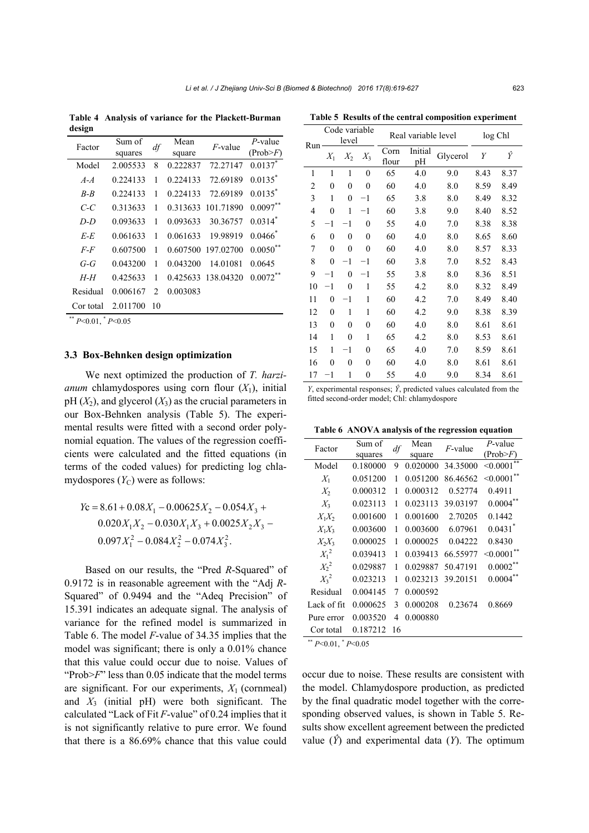**Table 4 Analysis of variance for the Plackett-Burman design** 

| Factor    | Sum of   | df                            | Mean     | $F$ -value | $P$ -value            |  |  |
|-----------|----------|-------------------------------|----------|------------|-----------------------|--|--|
|           | squares  |                               | square   |            | (Prob>F)              |  |  |
| Model     | 2.005533 | 8                             | 0.222837 | 72.27147   | $0.0137$ <sup>*</sup> |  |  |
| $A - A$   | 0.224133 | 1                             | 0.224133 | 72.69189   | $0.0135^{*}$          |  |  |
| $B - B$   | 0.224133 | 1                             | 0.224133 | 72.69189   | $0.0135$ *            |  |  |
| C-C       | 0.313633 | 1                             | 0.313633 | 101.71890  | $0.0097***$           |  |  |
| $D-D$     | 0.093633 | 1                             | 0.093633 | 30.36757   | $0.0314$ <sup>*</sup> |  |  |
| E-E       | 0.061633 | 1                             | 0.061633 | 19.98919   | 0.0466                |  |  |
| $F$ - $F$ | 0.607500 | 1                             | 0.607500 | 197.02700  | $0.0050***$           |  |  |
| $G - G$   | 0.043200 | 1                             | 0.043200 | 14.01081   | 0.0645                |  |  |
| $H$ - $H$ | 0.425633 | 1                             | 0.425633 | 138.04320  | $0.0072***$           |  |  |
| Residual  | 0.006167 | $\mathfrak{D}_{\mathfrak{p}}$ | 0.003083 |            |                       |  |  |
| Cor total | 2.011700 | 10                            |          |            |                       |  |  |
| .         |          |                               |          |            |                       |  |  |

\*\* *P*<0.01, \* *P*<0.05

#### **3.3 Box-Behnken design optimization**

We next optimized the production of *T. harzianum* chlamydospores using corn flour  $(X_1)$ , initial  $pH(X_2)$ , and glycerol  $(X_3)$  as the crucial parameters in our Box-Behnken analysis (Table 5). The experimental results were fitted with a second order polynomial equation. The values of the regression coefficients were calculated and the fitted equations (in terms of the coded values) for predicting log chlamydospores  $(Y_C)$  were as follows:

$$
Y_c = 8.61 + 0.08X_1 - 0.00625X_2 - 0.054X_3 + 0.020X_1X_2 - 0.030X_1X_3 + 0.0025X_2X_3 - 0.097X_1^2 - 0.084X_2^2 - 0.074X_3^2.
$$

Based on our results, the "Pred *R*-Squared" of 0.9172 is in reasonable agreement with the "Adj *R*-Squared" of 0.9494 and the "Adeq Precision" of 15.391 indicates an adequate signal. The analysis of variance for the refined model is summarized in Table 6. The model *F*-value of 34.35 implies that the model was significant; there is only a 0.01% chance that this value could occur due to noise. Values of "Prob>*F*" less than 0.05 indicate that the model terms are significant. For our experiments,  $X_1$  (cornmeal) and *X*3 (initial pH) were both significant. The calculated "Lack of Fit *F*-value" of 0.24 implies that it is not significantly relative to pure error. We found that there is a 86.69% chance that this value could

|                | Code variable<br>level |              |                  |               | Real variable level | log Chl  |      |      |
|----------------|------------------------|--------------|------------------|---------------|---------------------|----------|------|------|
| Run            | $X_1$                  | $X_2$        | $X_3$            | Corn<br>flour | Initial<br>pH       | Glycerol | Y    | Ŷ    |
| 1              | 1                      | 1            | $\mathbf{0}$     | 65            | 4.0                 | 9.0      | 8.43 | 8.37 |
| $\overline{2}$ | $\mathbf{0}$           | 0            | $\mathbf{0}$     | 60            | 4.0                 | 8.0      | 8.59 | 8.49 |
| 3              | 1                      | $\mathbf{0}$ | $^{-1}$          | 65            | 3.8                 | 8.0      | 8.49 | 8.32 |
| 4              | $\mathbf{0}$           | 1            | $^{-1}$          | 60            | 3.8                 | 9.0      | 8.40 | 8.52 |
| 5              | $-1$                   | $^{-1}$      | $\theta$         | 55            | 4.0                 | 7.0      | 8.38 | 8.38 |
| 6              | $\boldsymbol{0}$       | 0            | $\boldsymbol{0}$ | 60            | 4.0                 | 8.0      | 8.65 | 8.60 |
| 7              | $\mathbf{0}$           | 0            | $\mathbf{0}$     | 60            | 4.0                 | 8.0      | 8.57 | 8.33 |
| 8              | $\mathbf{0}$           | $^{-1}$      | $^{-1}$          | 60            | 3.8                 | 7.0      | 8.52 | 8.43 |
| 9              | $^{-1}$                | 0            | $^{-1}$          | 55            | 3.8                 | 8.0      | 8.36 | 8.51 |
| 10             | $^{-1}$                | 0            | 1                | 55            | 4.2                 | 8.0      | 8.32 | 8.49 |
| 11             | $\mathbf{0}$           | $^{-1}$      | 1                | 60            | 4.2                 | 7.0      | 8.49 | 8.40 |
| 12             | $\mathbf{0}$           | 1            | 1                | 60            | 4.2                 | 9.0      | 8.38 | 8.39 |
| 13             | $\mathbf{0}$           | $\theta$     | $\mathbf{0}$     | 60            | 4.0                 | 8.0      | 8.61 | 8.61 |
| 14             | 1                      | 0            | 1                | 65            | 4.2                 | 8.0      | 8.53 | 8.61 |
| 15             | 1                      | $^{-1}$      | $\mathbf{0}$     | 65            | 4.0                 | 7.0      | 8.59 | 8.61 |
| 16             | $\mathbf{0}$           | 0            | $\mathbf{0}$     | 60            | 4.0                 | 8.0      | 8.61 | 8.61 |
| 17             | $^{-1}$                | 1            | $\mathbf{0}$     | 55            | 4.0                 | 9.0      | 8.34 | 8.61 |

**Table 5 Results of the central composition experiment** 

*Y*, experimental responses;  $\hat{Y}$ , predicted values calculated from the fitted second-order model; Chl: chlamydospore

**Table 6 ANOVA analysis of the regression equation**

| Factor      | Sum of<br>squares | df | Mean<br>square | $F$ -value | $P$ -value<br>(Prob>F) |
|-------------|-------------------|----|----------------|------------|------------------------|
| Model       | 0.180000          | 9  | 0.020000       | 34.35000   | < 0.0001               |
| $X_1$       | 0.051200          | 1  | 0.051200       | 86.46562   | < 0.0001               |
| $X_2$       | 0.000312          | 1  | 0.000312       | 0.52774    | 0.4911                 |
| $X_3$       | 0.023113          | 1  | 0.023113       | 39.03197   | $0.0004**$             |
| $X_1X_2$    | 0.001600          | 1  | 0.001600       | 2.70205    | 0.1442                 |
| $X_1X_3$    | 0.003600          | 1  | 0.003600       | 6.07961    | $0.0431$ <sup>*</sup>  |
| $X_2X_3$    | 0.000025          | 1  | 0.000025       | 0.04222    | 0.8430                 |
| $X_1^2$     | 0.039413          | 1  | 0.039413       | 66.55977   | $<0.0001$ **           |
| $X_2^2$     | 0.029887          | 1  | 0.029887       | 50.47191   | 0.0002                 |
| $X_3^2$     | 0.023213          | 1  | 0.023213       | 39.20151   | 0.0004                 |
| Residual    | 0.004145          | 7  | 0.000592       |            |                        |
| Lack of fit | 0.000625          | 3  | 0.000208       | 0.23674    | 0.8669                 |
| Pure error  | 0.003520          | 4  | 0.000880       |            |                        |
| Cor total   | 0.187212          | 16 |                |            |                        |

\*\* *P*<0.01, \* *P*<0.05

occur due to noise. These results are consistent with the model. Chlamydospore production, as predicted by the final quadratic model together with the corresponding observed values, is shown in Table 5. Results show excellent agreement between the predicted value  $(\hat{Y})$  and experimental data  $(Y)$ . The optimum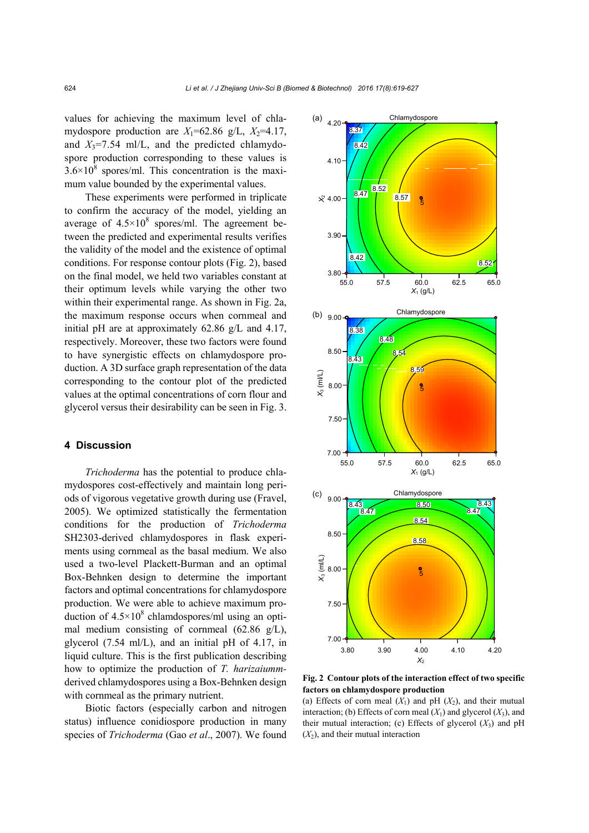values for achieving the maximum level of chlamydospore production are  $X_1$ =62.86 g/L,  $X_2$ =4.17, and  $X_3$ =7.54 ml/L, and the predicted chlamydospore production corresponding to these values is  $3.6 \times 10^8$  spores/ml. This concentration is the maximum value bounded by the experimental values.

These experiments were performed in triplicate to confirm the accuracy of the model, yielding an average of  $4.5 \times 10^8$  spores/ml. The agreement between the predicted and experimental results verifies the validity of the model and the existence of optimal conditions. For response contour plots (Fig. 2), based on the final model, we held two variables constant at their optimum levels while varying the other two within their experimental range. As shown in Fig. 2a, the maximum response occurs when cornmeal and initial pH are at approximately 62.86 g/L and 4.17, respectively. Moreover, these two factors were found to have synergistic effects on chlamydospore production. A 3D surface graph representation of the data corresponding to the contour plot of the predicted values at the optimal concentrations of corn flour and glycerol versus their desirability can be seen in Fig. 3.

#### **4 Discussion**

*Trichoderma* has the potential to produce chlamydospores cost-effectively and maintain long periods of vigorous vegetative growth during use (Fravel, 2005). We optimized statistically the fermentation conditions for the production of *Trichoderma* SH2303-derived chlamydospores in flask experiments using cornmeal as the basal medium. We also used a two-level Plackett-Burman and an optimal Box-Behnken design to determine the important factors and optimal concentrations for chlamydospore production. We were able to achieve maximum production of  $4.5 \times 10^8$  chlamdospores/ml using an optimal medium consisting of cornmeal (62.86 g/L), glycerol (7.54 ml/L), and an initial pH of 4.17, in liquid culture. This is the first publication describing how to optimize the production of *T. harizaiumm*derived chlamydospores using a Box-Behnken design with cornmeal as the primary nutrient.

Biotic factors (especially carbon and nitrogen status) influence conidiospore production in many species of *Trichoderma* (Gao *et al*., 2007). We found



**Fig. 2 Contour plots of the interaction effect of two specific factors on chlamydospore production** 

(a) Effects of corn meal  $(X_1)$  and pH  $(X_2)$ , and their mutual interaction; (b) Effects of corn meal  $(X_1)$  and glycerol  $(X_3)$ , and their mutual interaction; (c) Effects of glycerol  $(X_3)$  and pH  $(X_2)$ , and their mutual interaction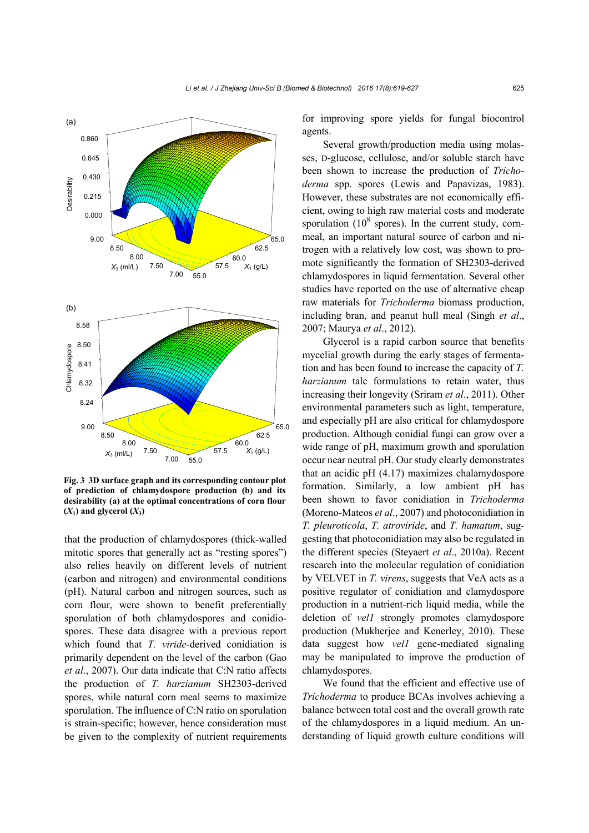

**Fig. 3 3D surface graph and its corresponding contour plot of prediction of chlamydospore production (b) and its desirability (a) at the optimal concentrations of corn flour**  $(X_1)$  and glycerol  $(X_3)$ 

that the production of chlamydospores (thick-walled mitotic spores that generally act as "resting spores") also relies heavily on different levels of nutrient (carbon and nitrogen) and environmental conditions (pH). Natural carbon and nitrogen sources, such as corn flour, were shown to benefit preferentially sporulation of both chlamydospores and conidiospores. These data disagree with a previous report which found that *T. viride*-derived conidiation is primarily dependent on the level of the carbon (Gao *et al*., 2007). Our data indicate that C:N ratio affects the production of *T. harzianum* SH2303-derived spores, while natural corn meal seems to maximize sporulation. The influence of C:N ratio on sporulation is strain-specific; however, hence consideration must be given to the complexity of nutrient requirements

for improving spore yields for fungal biocontrol agents.

Several growth/production media using molasses, D-glucose, cellulose, and/or soluble starch have been shown to increase the production of *Trichoderma* spp. spores (Lewis and Papavizas, 1983). However, these substrates are not economically efficient, owing to high raw material costs and moderate sporulation ( $10^8$  spores). In the current study, cornmeal, an important natural source of carbon and nitrogen with a relatively low cost, was shown to promote significantly the formation of SH2303-derived chlamydospores in liquid fermentation. Several other studies have reported on the use of alternative cheap raw materials for *Trichoderma* biomass production, including bran, and peanut hull meal (Singh *et al*., 2007; Maurya *et al*., 2012).

Glycerol is a rapid carbon source that benefits mycelial growth during the early stages of fermentation and has been found to increase the capacity of *T. harzianum* talc formulations to retain water, thus increasing their longevity (Sriram *et al*., 2011). Other environmental parameters such as light, temperature, and especially pH are also critical for chlamydospore production. Although conidial fungi can grow over a wide range of pH, maximum growth and sporulation occur near neutral pH. Our study clearly demonstrates that an acidic pH (4.17) maximizes chalamydospore formation. Similarly, a low ambient pH has been shown to favor conidiation in *Trichoderma*  (Moreno-Mateos *et al*., 2007) and photoconidiation in *T. pleuroticola*, *T. atroviride*, and *T. hamatum*, suggesting that photoconidiation may also be regulated in the different species (Steyaert *et al*., 2010a). Recent research into the molecular regulation of conidiation by VELVET in *T. virens*, suggests that VeA acts as a positive regulator of conidiation and clamydospore production in a nutrient-rich liquid media, while the deletion of *vel1* strongly promotes clamydospore production (Mukherjee and Kenerley, 2010). These data suggest how *vel1* gene-mediated signaling may be manipulated to improve the production of chlamydospores.

We found that the efficient and effective use of *Trichoderma* to produce BCAs involves achieving a balance between total cost and the overall growth rate of the chlamydospores in a liquid medium. An understanding of liquid growth culture conditions will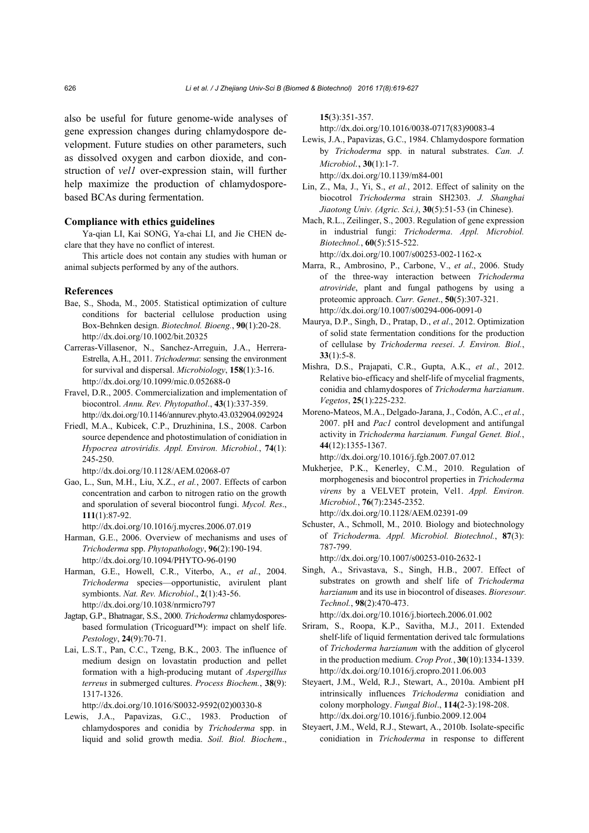also be useful for future genome-wide analyses of gene expression changes during chlamydospore development. Future studies on other parameters, such as dissolved oxygen and carbon dioxide, and construction of *vel1* over-expression stain, will further help maximize the production of chlamydosporebased BCAs during fermentation.

#### **Compliance with ethics guidelines**

Ya-qian LI, Kai SONG, Ya-chai LI, and Jie CHEN declare that they have no conflict of interest.

This article does not contain any studies with human or animal subjects performed by any of the authors.

#### **References**

- Bae, S., Shoda, M., 2005. Statistical optimization of culture conditions for bacterial cellulose production using Box-Behnken design. *Biotechnol. Bioeng.*, **90**(1):20-28. http://dx.doi.org/10.1002/bit.20325
- Carreras-Villasenor, N., Sanchez-Arreguin, J.A., Herrera-Estrella, A.H., 2011. *Trichoderma*: sensing the environment for survival and dispersal. *Microbiology*, **158**(1):3-16. http://dx.doi.org/10.1099/mic.0.052688-0
- Fravel, D.R., 2005. Commercialization and implementation of biocontrol. *Annu. Rev. Phytopathol*., **43**(1):337-359. http://dx.doi.org/10.1146/annurev.phyto.43.032904.092924
- Friedl, M.A., Kubicek, C.P., Druzhinina, I.S., 2008. Carbon source dependence and photostimulation of conidiation in *Hypocrea atroviridis. Appl. Environ. Microbiol.*, **74**(1): 245-250.

http://dx.doi.org/10.1128/AEM.02068-07

Gao, L., Sun, M.H., Liu, X.Z., *et al.*, 2007. Effects of carbon concentration and carbon to nitrogen ratio on the growth and sporulation of several biocontrol fungi. *Mycol. Res*., **111**(1):87-92.

http://dx.doi.org/10.1016/j.mycres.2006.07.019

- Harman, G.E., 2006. Overview of mechanisms and uses of *Trichoderma* spp. *Phytopathology*, **96**(2):190-194. http://dx.doi.org/10.1094/PHYTO-96-0190
- Harman, G.E., Howell, C.R., Viterbo, A., *et al.*, 2004. *Trichoderma* species—opportunistic, avirulent plant symbionts. *Nat. Rev. Microbiol*., **2**(1):43-56. http://dx.doi.org/10.1038/nrmicro797
- Jagtap, G.P., Bhatnagar, S.S., 2000. *Trichoderma* chlamydosporesbased formulation (Tricoguard™): impact on shelf life. *Pestology*, **24**(9):70-71.
- Lai, L.S.T., Pan, C.C., Tzeng, B.K., 2003. The influence of medium design on lovastatin production and pellet formation with a high-producing mutant of *Aspergillus terreus* in submerged cultures. *Process Biochem.*, **38**(9): 1317-1326.

http://dx.doi.org/10.1016/S0032-9592(02)00330-8

Lewis, J.A., Papavizas, G.C., 1983. Production of chlamydospores and conidia by *Trichoderma* spp. in liquid and solid growth media. *Soil. Biol. Biochem*.,

**15**(3):351-357.

http://dx.doi.org/10.1016/0038-0717(83)90083-4

- Lewis, J.A., Papavizas, G.C., 1984. Chlamydospore formation by *Trichoderma* spp. in natural substrates. *Can. J. Microbiol.*, **30**(1):1-7. http://dx.doi.org/10.1139/m84-001
- Lin, Z., Ma, J., Yi, S., *et al.*, 2012. Effect of salinity on the biocotrol *Trichoderma* strain SH2303. *J. Shanghai Jiaotong Univ. (Agric. Sci.)*, **30**(5):51-53 (in Chinese).
- Mach, R.L., Zeilinger, S., 2003. Regulation of gene expression in industrial fungi: *Trichoderma*. *Appl. Microbiol. Biotechnol.*, **60**(5):515-522.

http://dx.doi.org/10.1007/s00253-002-1162-x

- Marra, R., Ambrosino, P., Carbone, V., *et al*., 2006. Study of the three-way interaction between *Trichoderma atroviride*, plant and fungal pathogens by using a proteomic approach. *Curr. Genet*., **50**(5):307-321. http://dx.doi.org/10.1007/s00294-006-0091-0
- Maurya, D.P., Singh, D., Pratap, D., *et al*., 2012. Optimization of solid state fermentation conditions for the production of cellulase by *Trichoderma reesei*. *J. Environ. Biol.*, **33**(1):5-8.
- Mishra, D.S., Prajapati, C.R., Gupta, A.K., *et al.*, 2012. Relative bio-efficacy and shelf-life of mycelial fragments, conidia and chlamydospores of *Trichoderma harzianum*. *Vegetos*, **25**(1):225-232.
- Moreno-Mateos, M.A., Delgado-Jarana, J., Codón, A.C., *et al.*, 2007. pH and *Pac1* control development and antifungal activity in *Trichoderma harzianum. Fungal Genet. Biol.*, **44**(12):1355-1367. http://dx.doi.org/10.1016/j.fgb.2007.07.012

Mukherjee, P.K., Kenerley, C.M., 2010. Regulation of morphogenesis and biocontrol properties in *Trichoderma virens* by a VELVET protein, Vel1. *Appl. Environ. Microbiol.*, **76**(7):2345-2352. http://dx.doi.org/10.1128/AEM.02391-09

Schuster, A., Schmoll, M., 2010. Biology and biotechnology of *Trichoderm*a. *Appl. Microbiol. Biotechnol.*, **87**(3): 787-799.

http://dx.doi.org/10.1007/s00253-010-2632-1

Singh, A., Srivastava, S., Singh, H.B., 2007. Effect of substrates on growth and shelf life of *Trichoderma harzianum* and its use in biocontrol of diseases. *Bioresour. Technol.*, **98**(2):470-473.

http://dx.doi.org/10.1016/j.biortech.2006.01.002

- Sriram, S., Roopa, K.P., Savitha, M.J., 2011. Extended shelf-life of liquid fermentation derived talc formulations of *Trichoderma harzianum* with the addition of glycerol in the production medium. *Crop Prot.*, **30**(10):1334-1339. http://dx.doi.org/10.1016/j.cropro.2011.06.003
- Steyaert, J.M., Weld, R.J., Stewart, A., 2010a. Ambient pH intrinsically influences *Trichoderma* conidiation and colony morphology. *Fungal Biol*., **114(**2-3):198-208. http://dx.doi.org/10.1016/j.funbio.2009.12.004
- Steyaert, J.M., Weld, R.J., Stewart, A., 2010b. Isolate-specific conidiation in *Trichoderma* in response to different